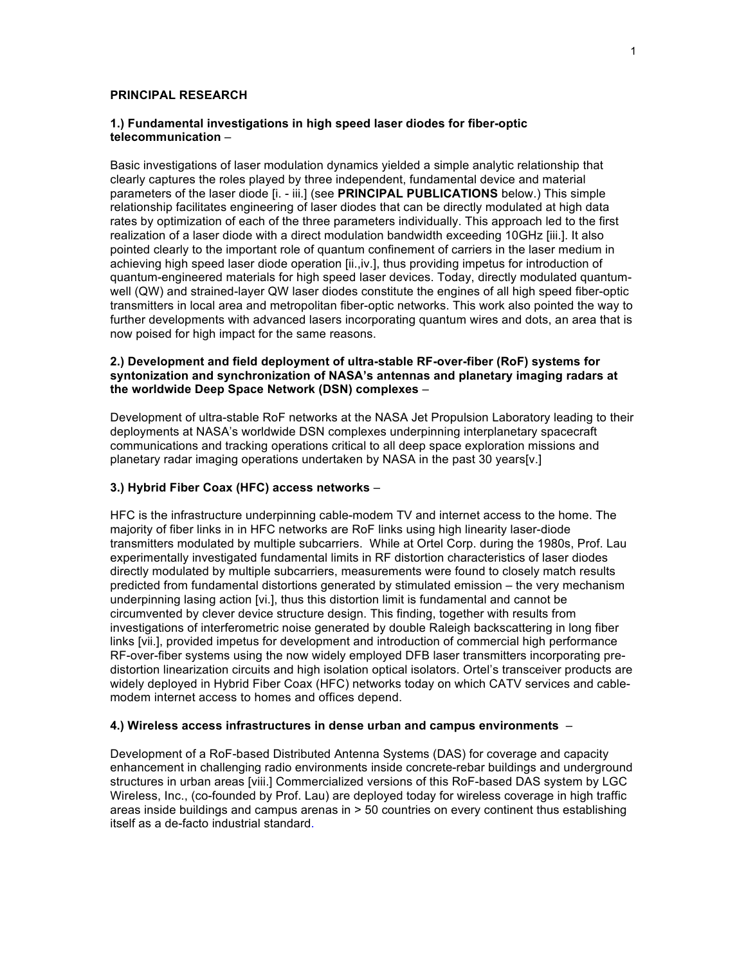### **PRINCIPAL RESEARCH**

## **1.) Fundamental investigations in high speed laser diodes for fiber-optic telecommunication** –

Basic investigations of laser modulation dynamics yielded a simple analytic relationship that clearly captures the roles played by three independent, fundamental device and material parameters of the laser diode [i. - iii.] (see **PRINCIPAL PUBLICATIONS** below.) This simple relationship facilitates engineering of laser diodes that can be directly modulated at high data rates by optimization of each of the three parameters individually. This approach led to the first realization of a laser diode with a direct modulation bandwidth exceeding 10GHz [iii.]. It also pointed clearly to the important role of quantum confinement of carriers in the laser medium in achieving high speed laser diode operation [ii.,iv.], thus providing impetus for introduction of quantum-engineered materials for high speed laser devices. Today, directly modulated quantumwell (QW) and strained-layer QW laser diodes constitute the engines of all high speed fiber-optic transmitters in local area and metropolitan fiber-optic networks. This work also pointed the way to further developments with advanced lasers incorporating quantum wires and dots, an area that is now poised for high impact for the same reasons.

# **2.) Development and field deployment of ultra-stable RF-over-fiber (RoF) systems for syntonization and synchronization of NASA's antennas and planetary imaging radars at the worldwide Deep Space Network (DSN) complexes** –

Development of ultra-stable RoF networks at the NASA Jet Propulsion Laboratory leading to their deployments at NASA's worldwide DSN complexes underpinning interplanetary spacecraft communications and tracking operations critical to all deep space exploration missions and planetary radar imaging operations undertaken by NASA in the past 30 years[v.]

## **3.) Hybrid Fiber Coax (HFC) access networks** –

HFC is the infrastructure underpinning cable-modem TV and internet access to the home. The majority of fiber links in in HFC networks are RoF links using high linearity laser-diode transmitters modulated by multiple subcarriers. While at Ortel Corp. during the 1980s, Prof. Lau experimentally investigated fundamental limits in RF distortion characteristics of laser diodes directly modulated by multiple subcarriers, measurements were found to closely match results predicted from fundamental distortions generated by stimulated emission – the very mechanism underpinning lasing action [vi.], thus this distortion limit is fundamental and cannot be circumvented by clever device structure design. This finding, together with results from investigations of interferometric noise generated by double Raleigh backscattering in long fiber links [vii.], provided impetus for development and introduction of commercial high performance RF-over-fiber systems using the now widely employed DFB laser transmitters incorporating predistortion linearization circuits and high isolation optical isolators. Ortel's transceiver products are widely deployed in Hybrid Fiber Coax (HFC) networks today on which CATV services and cablemodem internet access to homes and offices depend.

### **4.) Wireless access infrastructures in dense urban and campus environments** –

Development of a RoF-based Distributed Antenna Systems (DAS) for coverage and capacity enhancement in challenging radio environments inside concrete-rebar buildings and underground structures in urban areas [viii.] Commercialized versions of this RoF-based DAS system by LGC Wireless, Inc., (co-founded by Prof. Lau) are deployed today for wireless coverage in high traffic areas inside buildings and campus arenas in > 50 countries on every continent thus establishing itself as a de-facto industrial standard.